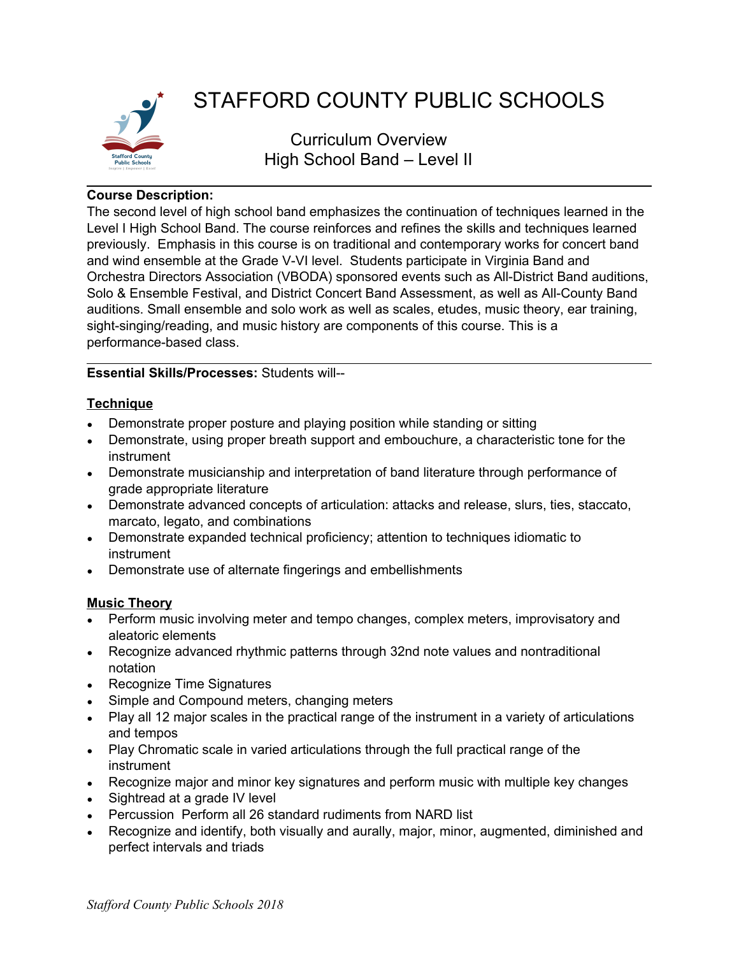

# STAFFORD COUNTY PUBLIC SCHOOLS

Curriculum Overview High School Band – Level II

## **Course Description:**

The second level of high school band emphasizes the continuation of techniques learned in the Level I High School Band. The course reinforces and refines the skills and techniques learned previously. Emphasis in this course is on traditional and contemporary works for concert band and wind ensemble at the Grade V-VI level. Students participate in Virginia Band and Orchestra Directors Association (VBODA) sponsored events such as All-District Band auditions, Solo & Ensemble Festival, and District Concert Band Assessment, as well as All-County Band auditions. Small ensemble and solo work as well as scales, etudes, music theory, ear training, sight-singing/reading, and music history are components of this course. This is a performance-based class.

## **Essential Skills/Processes:** Students will--

# **Technique**

- Demonstrate proper posture and playing position while standing or sitting
- Demonstrate, using proper breath support and embouchure, a characteristic tone for the instrument
- Demonstrate musicianship and interpretation of band literature through performance of grade appropriate literature
- Demonstrate advanced concepts of articulation: attacks and release, slurs, ties, staccato, marcato, legato, and combinations
- Demonstrate expanded technical proficiency; attention to techniques idiomatic to instrument
- Demonstrate use of alternate fingerings and embellishments

## **Music Theory**

- Perform music involving meter and tempo changes, complex meters, improvisatory and aleatoric elements
- Recognize advanced rhythmic patterns through 32nd note values and nontraditional notation
- Recognize Time Signatures
- Simple and Compound meters, changing meters
- Play all 12 major scales in the practical range of the instrument in a variety of articulations and tempos
- Play Chromatic scale in varied articulations through the full practical range of the instrument
- Recognize major and minor key signatures and perform music with multiple key changes
- Sightread at a grade IV level
- Percussion Perform all 26 standard rudiments from NARD list
- Recognize and identify, both visually and aurally, major, minor, augmented, diminished and perfect intervals and triads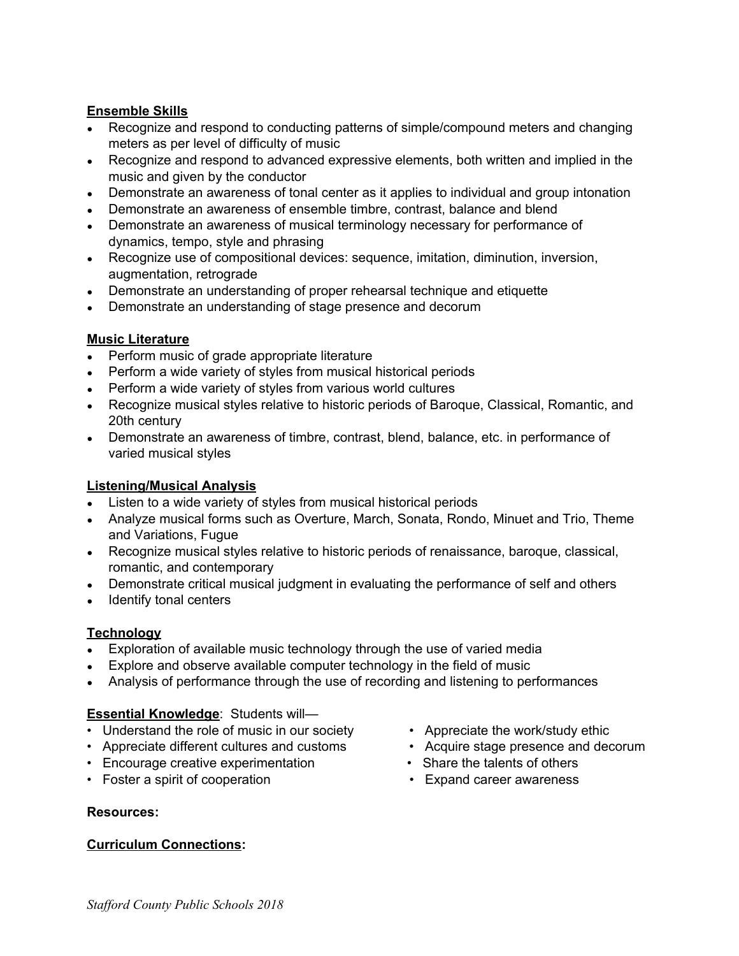#### **Ensemble Skills**

- Recognize and respond to conducting patterns of simple/compound meters and changing meters as per level of difficulty of music
- Recognize and respond to advanced expressive elements, both written and implied in the music and given by the conductor
- Demonstrate an awareness of tonal center as it applies to individual and group intonation
- Demonstrate an awareness of ensemble timbre, contrast, balance and blend
- Demonstrate an awareness of musical terminology necessary for performance of dynamics, tempo, style and phrasing
- Recognize use of compositional devices: sequence, imitation, diminution, inversion, augmentation, retrograde
- Demonstrate an understanding of proper rehearsal technique and etiquette
- Demonstrate an understanding of stage presence and decorum

### **Music Literature**

- Perform music of grade appropriate literature
- Perform a wide variety of styles from musical historical periods
- Perform a wide variety of styles from various world cultures
- Recognize musical styles relative to historic periods of Baroque, Classical, Romantic, and 20th century
- Demonstrate an awareness of timbre, contrast, blend, balance, etc. in performance of varied musical styles

#### **Listening/Musical Analysis**

- Listen to a wide variety of styles from musical historical periods
- Analyze musical forms such as Overture, March, Sonata, Rondo, Minuet and Trio, Theme and Variations, Fugue
- Recognize musical styles relative to historic periods of renaissance, baroque, classical, romantic, and contemporary
- Demonstrate critical musical judgment in evaluating the performance of self and others
- Identify tonal centers

## **Technology**

- Exploration of available music technology through the use of varied media
- Explore and observe available computer technology in the field of music
- Analysis of performance through the use of recording and listening to performances

## **Essential Knowledge**: Students will—

- Understand the role of music in our society Appreciate the work/study ethic
- Appreciate different cultures and customs Acquire stage presence and decorum
- Encourage creative experimentation Share the talents of others
- Foster a spirit of cooperation Expand career awareness

#### **Resources:**

#### **Curriculum Connections:**

- 
- 
- 
-